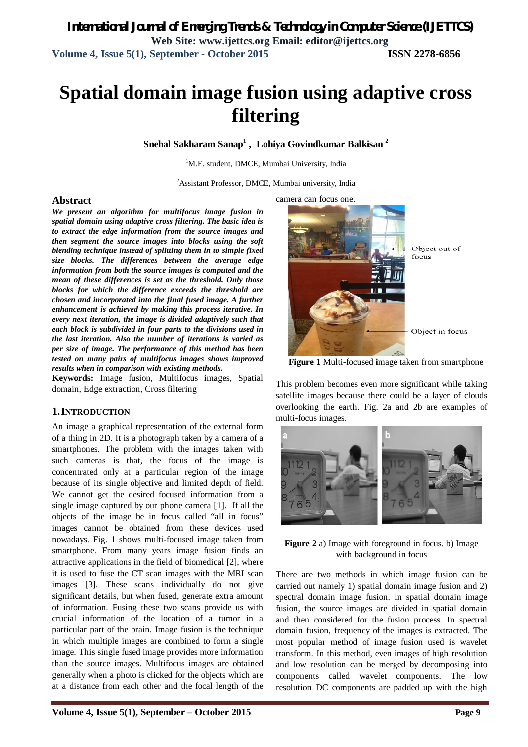# **Spatial domain image fusion using adaptive cross filtering**

**Snehal Sakharam Sanap<sup>1</sup> , Lohiya Govindkumar Balkisan <sup>2</sup>**

<sup>1</sup>M.E. student, DMCE, Mumbai University, India

<sup>2</sup>Assistant Professor, DMCE, Mumbai university, India

#### **Abstract**

*We present an algorithm for multifocus image fusion in spatial domain using adaptive cross filtering. The basic idea is to extract the edge information from the source images and then segment the source images into blocks using the soft blending technique instead of splitting them in to simple fixed size blocks. The differences between the average edge information from both the source images is computed and the mean of these differences is set as the threshold. Only those blocks for which the difference exceeds the threshold are chosen and incorporated into the final fused image. A further enhancement is achieved by making this process iterative. In every next iteration, the image is divided adaptively such that each block is subdivided in four parts to the divisions used in the last iteration. Also the number of iterations is varied as per size of image. The performance of this method has been tested on many pairs of multifocus images shows improved results when in comparison with existing methods.*

**Keywords:** Image fusion, Multifocus images, Spatial domain, Edge extraction, Cross filtering

## **1.INTRODUCTION**

An image a graphical representation of the external form of a thing in 2D. It is a photograph taken by a camera of a smartphones. The problem with the images taken with such cameras is that, the focus of the image is concentrated only at a particular region of the image because of its single objective and limited depth of field. We cannot get the desired focused information from a single image captured by our phone camera [1]. If all the objects of the image be in focus called "all in focus" images cannot be obtained from these devices used nowadays. Fig. 1 shows multi-focused image taken from smartphone. From many years image fusion finds an attractive applications in the field of biomedical [2], where it is used to fuse the CT scan images with the MRI scan images [3]. These scans individually do not give significant details, but when fused, generate extra amount of information. Fusing these two scans provide us with crucial information of the location of a tumor in a particular part of the brain. Image fusion is the technique in which multiple images are combined to form a single image. This single fused image provides more information than the source images. Multifocus images are obtained generally when a photo is clicked for the objects which are at a distance from each other and the focal length of the



**Figure 1** Multi-focused **i**mage taken from smartphone

This problem becomes even more significant while taking satellite images because there could be a layer of clouds overlooking the earth. Fig. 2a and 2b are examples of multi-focus images.



**Figure 2** a) Image with foreground in focus. b) Image with background in focus

There are two methods in which image fusion can be carried out namely 1) spatial domain image fusion and 2) spectral domain image fusion. In spatial domain image fusion, the source images are divided in spatial domain and then considered for the fusion process. In spectral domain fusion, frequency of the images is extracted. The most popular method of image fusion used is wavelet transform. In this method, even images of high resolution and low resolution can be merged by decomposing into components called wavelet components. The low resolution DC components are padded up with the high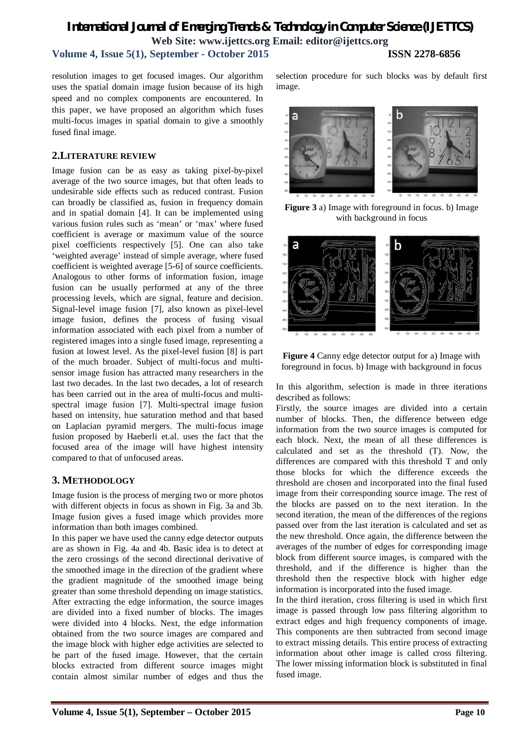## *International Journal of Emerging Trends & Technology in Computer Science (IJETTCS)* **Web Site: www.ijettcs.org Email: editor@ijettcs.org**

**Volume 4, Issue 5(1), September - October 2015 ISSN 2278-6856**

resolution images to get focused images. Our algorithm uses the spatial domain image fusion because of its high speed and no complex components are encountered. In this paper, we have proposed an algorithm which fuses multi-focus images in spatial domain to give a smoothly fused final image.

## **2.LITERATURE REVIEW**

Image fusion can be as easy as taking pixel-by-pixel average of the two source images, but that often leads to undesirable side effects such as reduced contrast. Fusion can broadly be classified as, fusion in frequency domain and in spatial domain [4]. It can be implemented using various fusion rules such as 'mean' or 'max' where fused coefficient is average or maximum value of the source pixel coefficients respectively [5]. One can also take 'weighted average' instead of simple average, where fused coefficient is weighted average [5-6] of source coefficients. Analogous to other forms of information fusion, image fusion can be usually performed at any of the three processing levels, which are signal, feature and decision. Signal-level image fusion [7], also known as pixel-level image fusion, defines the process of fusing visual information associated with each pixel from a number of registered images into a single fused image, representing a fusion at lowest level. As the pixel-level fusion [8] is part of the much broader. Subject of multi-focus and multisensor image fusion has attracted many researchers in the last two decades. In the last two decades, a lot of research has been carried out in the area of multi-focus and multispectral image fusion [7]. Multi-spectral image fusion based on intensity, hue saturation method and that based on Laplacian pyramid mergers. The multi-focus image fusion proposed by Haeberli et.al. uses the fact that the focused area of the image will have highest intensity compared to that of unfocused areas.

## **3. METHODOLOGY**

Image fusion is the process of merging two or more photos with different objects in focus as shown in Fig. 3a and 3b. Image fusion gives a fused image which provides more information than both images combined.

In this paper we have used the canny edge detector outputs are as shown in Fig. 4a and 4b. Basic idea is to detect at the zero crossings of the second directional derivative of the smoothed image in the direction of the gradient where the gradient magnitude of the smoothed image being greater than some threshold depending on image statistics. After extracting the edge information, the source images are divided into a fixed number of blocks. The images were divided into 4 blocks. Next, the edge information obtained from the two source images are compared and the image block with higher edge activities are selected to be part of the fused image. However, that the certain blocks extracted from different source images might contain almost similar number of edges and thus the selection procedure for such blocks was by default first image.



**Figure 3** a) Image with foreground in focus. b) Image with background in focus



**Figure 4** Canny edge detector output for a) Image with foreground in focus. b) Image with background in focus

In this algorithm, selection is made in three iterations described as follows:

Firstly, the source images are divided into a certain number of blocks. Then, the difference between edge information from the two source images is computed for each block. Next, the mean of all these differences is calculated and set as the threshold (T). Now, the differences are compared with this threshold T and only those blocks for which the difference exceeds the threshold are chosen and incorporated into the final fused image from their corresponding source image. The rest of the blocks are passed on to the next iteration. In the second iteration, the mean of the differences of the regions passed over from the last iteration is calculated and set as the new threshold. Once again, the difference between the averages of the number of edges for corresponding image block from different source images, is compared with the threshold, and if the difference is higher than the threshold then the respective block with higher edge information is incorporated into the fused image.

In the third iteration, cross filtering is used in which first image is passed through low pass filtering algorithm to extract edges and high frequency components of image. This components are then subtracted from second image to extract missing details. This entire process of extracting information about other image is called cross filtering. The lower missing information block is substituted in final fused image.